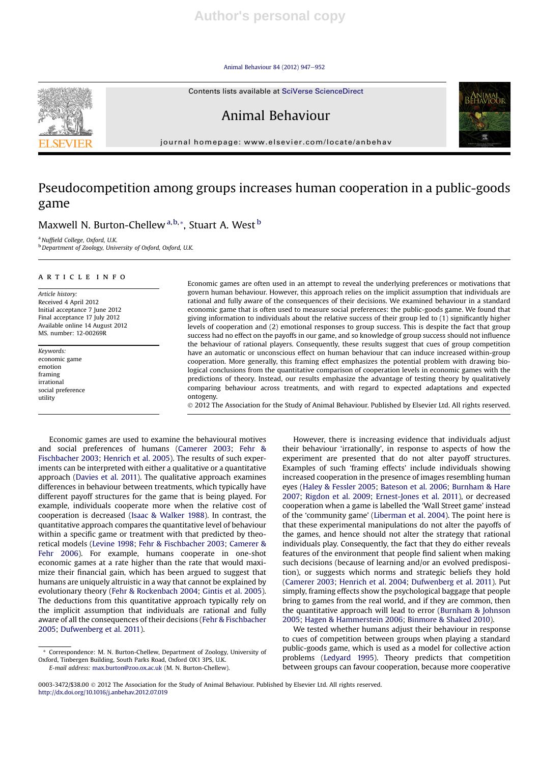#### Animal Behaviour 84 (2012) 947-952





journal homepage: www.elsevier.com/locate/anbehav

# Pseudocompetition among groups increases human cooperation in a public-goods game

# Maxwell N. Burton-Chellew a, b, \*, Stuart A. West b

<sup>a</sup> Nuffield College, Oxford, U.K.

**b** Department of Zoology, University of Oxford, Oxford, U.K.

## article info

Article history: Received 4 April 2012 Initial acceptance 7 June 2012 Final acceptance 17 July 2012 Available online 14 August 2012 MS. number: 12-00269R

Keywords: economic game emotion framing irrational social preference utility

Economic games are often used in an attempt to reveal the underlying preferences or motivations that govern human behaviour. However, this approach relies on the implicit assumption that individuals are rational and fully aware of the consequences of their decisions. We examined behaviour in a standard economic game that is often used to measure social preferences: the public-goods game. We found that giving information to individuals about the relative success of their group led to (1) significantly higher levels of cooperation and (2) emotional responses to group success. This is despite the fact that group success had no effect on the payoffs in our game, and so knowledge of group success should not influence the behaviour of rational players. Consequently, these results suggest that cues of group competition have an automatic or unconscious effect on human behaviour that can induce increased within-group cooperation. More generally, this framing effect emphasizes the potential problem with drawing biological conclusions from the quantitative comparison of cooperation levels in economic games with the predictions of theory. Instead, our results emphasize the advantage of testing theory by qualitatively comparing behaviour across treatments, and with regard to expected adaptations and expected ontogeny.

2012 The Association for the Study of Animal Behaviour. Published by Elsevier Ltd. All rights reserved.

Economic games are used to examine the behavioural motives and social preferences of humans (Camerer 2003; Fehr & Fischbacher 2003; Henrich et al. 2005). The results of such experiments can be interpreted with either a qualitative or a quantitative approach (Davies et al. 2011). The qualitative approach examines differences in behaviour between treatments, which typically have different payoff structures for the game that is being played. For example, individuals cooperate more when the relative cost of cooperation is decreased (Isaac & Walker 1988). In contrast, the quantitative approach compares the quantitative level of behaviour within a specific game or treatment with that predicted by theoretical models (Levine 1998; Fehr & Fischbacher 2003; Camerer & Fehr 2006). For example, humans cooperate in one-shot economic games at a rate higher than the rate that would maximize their financial gain, which has been argued to suggest that humans are uniquely altruistic in a way that cannot be explained by evolutionary theory (Fehr & Rockenbach 2004; Gintis et al. 2005). The deductions from this quantitative approach typically rely on the implicit assumption that individuals are rational and fully aware of all the consequences of their decisions (Fehr & Fischbacher 2005; Dufwenberg et al. 2011).

However, there is increasing evidence that individuals adjust their behaviour 'irrationally', in response to aspects of how the experiment are presented that do not alter payoff structures. Examples of such 'framing effects' include individuals showing increased cooperation in the presence of images resembling human eyes (Haley & Fessler 2005; Bateson et al. 2006; Burnham & Hare 2007; Rigdon et al. 2009; Ernest-Jones et al. 2011), or decreased cooperation when a game is labelled the 'Wall Street game' instead of the 'community game' (Liberman et al. 2004). The point here is that these experimental manipulations do not alter the payoffs of the games, and hence should not alter the strategy that rational individuals play. Consequently, the fact that they do either reveals features of the environment that people find salient when making such decisions (because of learning and/or an evolved predisposition), or suggests which norms and strategic beliefs they hold (Camerer 2003; Henrich et al. 2004; Dufwenberg et al. 2011). Put simply, framing effects show the psychological baggage that people bring to games from the real world, and if they are common, then the quantitative approach will lead to error (Burnham & Johnson 2005; Hagen & Hammerstein 2006; Binmore & Shaked 2010).

We tested whether humans adjust their behaviour in response to cues of competition between groups when playing a standard public-goods game, which is used as a model for collective action problems (Ledyard 1995). Theory predicts that competition between groups can favour cooperation, because more cooperative

<sup>\*</sup> Correspondence: M. N. Burton-Chellew, Department of Zoology, University of Oxford, Tinbergen Building, South Parks Road, Oxford OX1 3PS, U.K. E-mail address: max.burton@zoo.ox.ac.uk (M. N. Burton-Chellew).

<sup>0003-3472/\$38.00</sup>  $\circ$  2012 The Association for the Study of Animal Behaviour. Published by Elsevier Ltd. All rights reserved. http://dx.doi.org/10.1016/j.anbehav.2012.07.019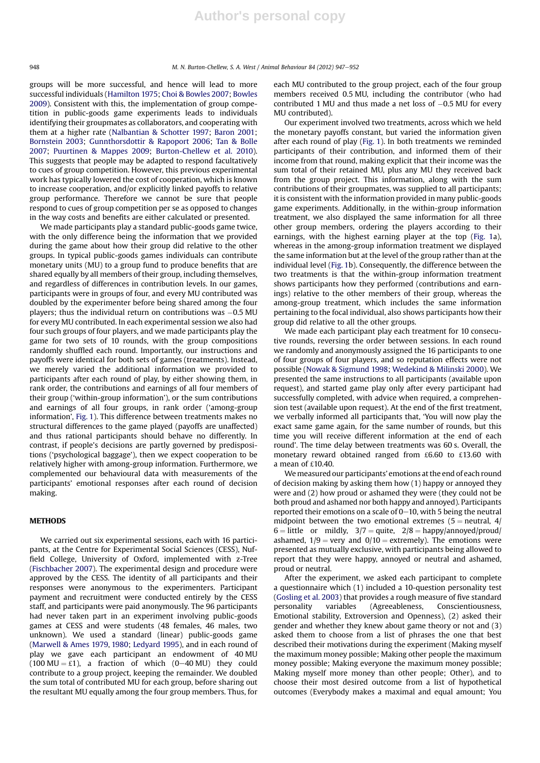groups will be more successful, and hence will lead to more successful individuals (Hamilton 1975; Choi & Bowles 2007; Bowles 2009). Consistent with this, the implementation of group competition in public-goods game experiments leads to individuals identifying their groupmates as collaborators, and cooperating with them at a higher rate (Nalbantian & Schotter 1997; Baron 2001; Bornstein 2003; Gunnthorsdottir & Rapoport 2006; Tan & Bolle 2007; Puurtinen & Mappes 2009; Burton-Chellew et al. 2010). This suggests that people may be adapted to respond facultatively to cues of group competition. However, this previous experimental work has typically lowered the cost of cooperation, which is known to increase cooperation, and/or explicitly linked payoffs to relative group performance. Therefore we cannot be sure that people respond to cues of group competition per se as opposed to changes in the way costs and benefits are either calculated or presented.

We made participants play a standard public-goods game twice, with the only difference being the information that we provided during the game about how their group did relative to the other groups. In typical public-goods games individuals can contribute monetary units (MU) to a group fund to produce benefits that are shared equally by all members of their group, including themselves, and regardless of differences in contribution levels. In our games, participants were in groups of four, and every MU contributed was doubled by the experimenter before being shared among the four players; thus the individual return on contributions was  $-0.5$  MU for every MU contributed. In each experimental session we also had four such groups of four players, and we made participants play the game for two sets of 10 rounds, with the group compositions randomly shuffled each round. Importantly, our instructions and payoffs were identical for both sets of games (treatments). Instead, we merely varied the additional information we provided to participants after each round of play, by either showing them, in rank order, the contributions and earnings of all four members of their group ('within-group information'), or the sum contributions and earnings of all four groups, in rank order ('among-group information', Fig. 1). This difference between treatments makes no structural differences to the game played (payoffs are unaffected) and thus rational participants should behave no differently. In contrast, if people's decisions are partly governed by predispositions ('psychological baggage'), then we expect cooperation to be relatively higher with among-group information. Furthermore, we complemented our behavioural data with measurements of the participants' emotional responses after each round of decision making.

### **METHODS**

We carried out six experimental sessions, each with 16 participants, at the Centre for Experimental Social Sciences (CESS), Nuffield College, University of Oxford, implemented with z-Tree (Fischbacher 2007). The experimental design and procedure were approved by the CESS. The identity of all participants and their responses were anonymous to the experimenters. Participant payment and recruitment were conducted entirely by the CESS staff, and participants were paid anonymously. The 96 participants had never taken part in an experiment involving public-goods games at CESS and were students (48 females, 46 males, two unknown). We used a standard (linear) public-goods game (Marwell & Ames 1979, 1980; Ledyard 1995), and in each round of play we gave each participant an endowment of 40 MU (100 MU =  $\text{\pounds}1$ ), a fraction of which (0-40 MU) they could contribute to a group project, keeping the remainder. We doubled the sum total of contributed MU for each group, before sharing out the resultant MU equally among the four group members. Thus, for each MU contributed to the group project, each of the four group members received 0.5 MU, including the contributor (who had contributed 1 MU and thus made a net loss of  $-0.5$  MU for every MU contributed).

Our experiment involved two treatments, across which we held the monetary payoffs constant, but varied the information given after each round of play (Fig. 1). In both treatments we reminded participants of their contribution, and informed them of their income from that round, making explicit that their income was the sum total of their retained MU, plus any MU they received back from the group project. This information, along with the sum contributions of their groupmates, was supplied to all participants; it is consistent with the information provided in many public-goods game experiments. Additionally, in the within-group information treatment, we also displayed the same information for all three other group members, ordering the players according to their earnings, with the highest earning player at the top (Fig. 1a), whereas in the among-group information treatment we displayed the same information but at the level of the group rather than at the individual level (Fig. 1b). Consequently, the difference between the two treatments is that the within-group information treatment shows participants how they performed (contributions and earnings) relative to the other members of their group, whereas the among-group treatment, which includes the same information pertaining to the focal individual, also shows participants how their group did relative to all the other groups.

We made each participant play each treatment for 10 consecutive rounds, reversing the order between sessions. In each round we randomly and anonymously assigned the 16 participants to one of four groups of four players, and so reputation effects were not possible (Nowak & Sigmund 1998; Wedekind & Milinski 2000). We presented the same instructions to all participants (available upon request), and started game play only after every participant had successfully completed, with advice when required, a comprehension test (available upon request). At the end of the first treatment, we verbally informed all participants that, 'You will now play the exact same game again, for the same number of rounds, but this time you will receive different information at the end of each round'. The time delay between treatments was 60 s. Overall, the monetary reward obtained ranged from £6.60 to £13.60 with a mean of £10.40.

We measured our participants' emotions at the end of each round of decision making by asking them how (1) happy or annoyed they were and (2) how proud or ashamed they were (they could not be both proud and ashamed nor both happy and annoyed). Participants reported their emotions on a scale of  $0-10$ , with 5 being the neutral midpoint between the two emotional extremes  $(5 =$  neutral, 4/  $6 =$  little or mildly,  $3/7 =$  quite,  $2/8 =$  happy/annoyed/proud/ ashamed,  $1/9$  = very and  $0/10$  = extremely). The emotions were presented as mutually exclusive, with participants being allowed to report that they were happy, annoyed or neutral and ashamed, proud or neutral.

After the experiment, we asked each participant to complete a questionnaire which (1) included a 10-question personality test (Gosling et al. 2003) that provides a rough measure of five standard personality variables (Agreeableness, Conscientiousness, Emotional stability, Extroversion and Openness), (2) asked their gender and whether they knew about game theory or not and (3) asked them to choose from a list of phrases the one that best described their motivations during the experiment (Making myself the maximum money possible; Making other people the maximum money possible; Making everyone the maximum money possible; Making myself more money than other people; Other), and to choose their most desired outcome from a list of hypothetical outcomes (Everybody makes a maximal and equal amount; You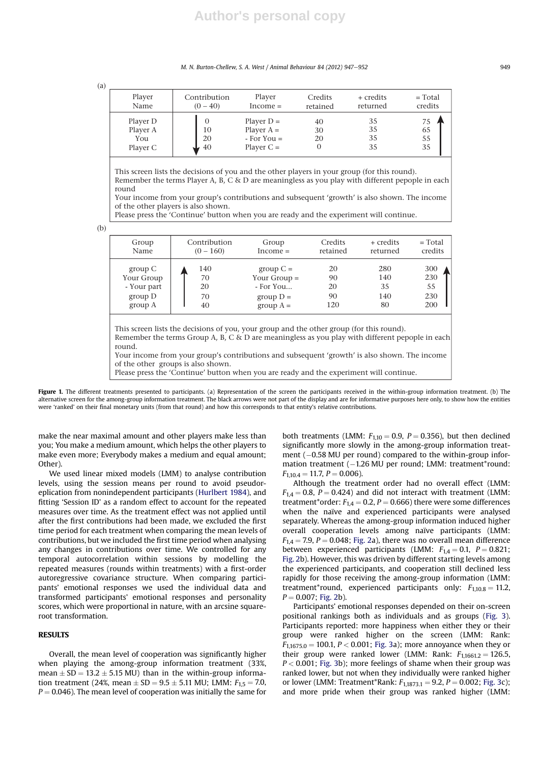M. N. Burton-Chellew, S. A. West / Animal Behaviour 84 (2012) 947–952 949

(a)

| Player                                  | Contribution        | Player                                                          | Credits        | + credits            | $= Total$            |
|-----------------------------------------|---------------------|-----------------------------------------------------------------|----------------|----------------------|----------------------|
| Name                                    | $(0 - 40)$          | $Income =$                                                      | retained       | returned             | credits              |
| Player D<br>Player A<br>You<br>Player C | 0<br>10<br>20<br>40 | Player $D =$<br>Player $A =$<br>$-$ For You $=$<br>Player $C =$ | 40<br>30<br>20 | 35<br>35<br>35<br>35 | 75<br>65<br>55<br>35 |

This screen lists the decisions of you and the other players in your group (for this round). Remember the terms Player A, B, C & D are meaningless as you play with different pepople in each round

Your income from your group's contributions and subsequent 'growth' is also shown. The income of the other players is also shown.

Please press the 'Continue' button when you are ready and the experiment will continue.

(b)

| Group<br>Name | Contribution<br>$(0 - 160)$ | Group<br>$Income =$ | <b>Credits</b><br>retained | + credits<br>returned | $= Total$<br>credits |
|---------------|-----------------------------|---------------------|----------------------------|-----------------------|----------------------|
| group C       | 140                         | group $C =$         | 20                         | 280                   | 300                  |
| Your Group    | 70                          | Your Group $=$      | 90                         | 140                   | 230                  |
| - Your part   | 20                          | $-$ For You         | 20                         | 35                    | 55                   |
| group D       | 70                          | group $D =$         | 90                         | 140                   | 230                  |
| group A       | 40                          | group $A =$         | 120                        | 80                    | 200                  |

Your income from your group's contributions and subsequent 'growth' is also shown. The income of the other groups is also shown.

Please press the 'Continue' button when you are ready and the experiment will continue.

Figure 1. The different treatments presented to participants. (a) Representation of the screen the participants received in the within-group information treatment. (b) The alternative screen for the among-group information treatment. The black arrows were not part of the display and are for informative purposes here only, to show how the entities were 'ranked' on their final monetary units (from that round) and how this corresponds to that entity's relative contributions.

make the near maximal amount and other players make less than you; You make a medium amount, which helps the other players to make even more; Everybody makes a medium and equal amount; Other).

We used linear mixed models (LMM) to analyse contribution levels, using the session means per round to avoid pseudoreplication from nonindependent participants (Hurlbert 1984), and fitting 'Session ID' as a random effect to account for the repeated measures over time. As the treatment effect was not applied until after the first contributions had been made, we excluded the first time period for each treatment when comparing the mean levels of contributions, but we included the first time period when analysing any changes in contributions over time. We controlled for any temporal autocorrelation within sessions by modelling the repeated measures (rounds within treatments) with a first-order autoregressive covariance structure. When comparing participants' emotional responses we used the individual data and transformed participants' emotional responses and personality scores, which were proportional in nature, with an arcsine squareroot transformation.

#### RESULTS

Overall, the mean level of cooperation was significantly higher when playing the among-group information treatment (33%, mean  $\pm$  SD = 13.2  $\pm$  5.15 MU) than in the within-group information treatment (24%, mean  $\pm$  SD = 9.5  $\pm$  5.11 MU; LMM:  $F_{1.5}$  = 7.0,  $P = 0.046$ ). The mean level of cooperation was initially the same for both treatments (LMM:  $F_{1,10} = 0.9$ ,  $P = 0.356$ ), but then declined significantly more slowly in the among-group information treatment  $(-0.58$  MU per round) compared to the within-group information treatment  $(-1.26 \text{ MU}$  per round; LMM: treatment\*round:  $F_{1,10,4} = 11.7, P = 0.006$ ).

Although the treatment order had no overall effect (LMM:  $F_{1,4} = 0.8$ ,  $P = 0.424$ ) and did not interact with treatment (LMM: treatment\*order:  $F_{1,4} = 0.2$ ,  $P = 0.666$ ) there were some differences when the naïve and experienced participants were analysed separately. Whereas the among-group information induced higher overall cooperation levels among naïve participants (LMM:  $F_{1,4} = 7.9$ ,  $P = 0.048$ ; Fig. 2a), there was no overall mean difference between experienced participants (LMM:  $F_{1,4} = 0.1$ ,  $P = 0.821$ ; Fig. 2b). However, this was driven by different starting levels among the experienced participants, and cooperation still declined less rapidly for those receiving the among-group information (LMM: treatment\*round, experienced participants only:  $F_{1,10.8} = 11.2$ ,  $P = 0.007$ ; Fig. 2b).

Participants' emotional responses depended on their on-screen positional rankings both as individuals and as groups (Fig. 3). Participants reported: more happiness when either they or their group were ranked higher on the screen (LMM: Rank:  $F_{1,1675.0} = 100.1, P < 0.001$ ; Fig. 3a); more annoyance when they or their group were ranked lower (LMM: Rank:  $F_{1,1661.2} = 126.5$ ,  $P < 0.001$ ; Fig. 3b); more feelings of shame when their group was ranked lower, but not when they individually were ranked higher or lower (LMM: Treatment\*Rank:  $F_{1,1873,1} = 9.2$ ,  $P = 0.002$ ; Fig. 3c); and more pride when their group was ranked higher (LMM: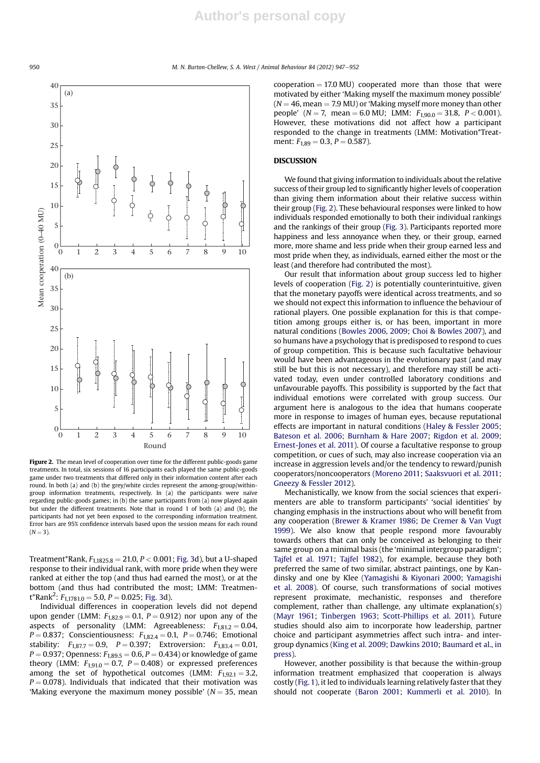950 M. N. Burton-Chellew, S. A. West / Animal Behaviour 84 (2012) 947–952



Figure 2. The mean level of cooperation over time for the different public-goods game treatments. In total, six sessions of 16 participants each played the same public-goods game under two treatments that differed only in their information content after each round. In both (a) and (b) the grey/white circles represent the among-group/withingroup information treatments, respectively. In (a) the participants were naïve regarding public-goods games; in (b) the same participants from (a) now played again but under the different treatments. Note that in round 1 of both (a) and (b), the participants had not yet been exposed to the corresponding information treatment. Error bars are 95% confidence intervals based upon the session means for each round  $(N = 3)$ .

Treatment\*Rank,  $F_{1,1825.8} = 21.0, P < 0.001$ ; Fig. 3d), but a U-shaped response to their individual rank, with more pride when they were ranked at either the top (and thus had earned the most), or at the bottom (and thus had contributed the most; LMM: Treatment\*Rank<sup>2</sup>:  $F_{1,1781.0} = 5.0, P = 0.025$ ; Fig. 3d).

Individual differences in cooperation levels did not depend upon gender (LMM:  $F_{1,82.9} = 0.1$ ,  $P = 0.912$ ) nor upon any of the aspects of personality (LMM: Agreeableness:  $F_{1,81,2} = 0.04$ ,  $P = 0.837$ ; Conscientiousness:  $F_{1,82,4} = 0.1$ ,  $P = 0.746$ ; Emotional stability:  $F_{1,87.7} = 0.9$ ,  $P = 0.397$ ; Extroversion:  $F_{1,83.4} = 0.01$ ,  $P = 0.937$ ; Openness:  $F_{1,89.5} = 0.6$ ,  $P = 0.434$ ) or knowledge of game theory (LMM:  $F_{1910} = 0.7$ ,  $P = 0.408$ ) or expressed preferences among the set of hypothetical outcomes (LMM:  $F_{1,92.1} = 3.2$ ,  $P = 0.078$ ). Individuals that indicated that their motivation was 'Making everyone the maximum money possible'  $(N = 35$ , mean

 $cooperation = 17.0 \text{ MU}$  cooperated more than those that were motivated by either 'Making myself the maximum money possible'  $(N = 46$ , mean  $= 7.9$  MU) or 'Making myself more money than other people' ( $N = 7$ , mean = 6.0 MU; LMM:  $F_{1,90.0} = 31.8$ ,  $P < 0.001$ ). However, these motivations did not affect how a participant responded to the change in treatments (LMM: Motivation\*Treatment:  $F_{1,89} = 0.3$ ,  $P = 0.587$ ).

### **DISCUSSION**

We found that giving information to individuals about the relative success of their group led to significantly higher levels of cooperation than giving them information about their relative success within their group (Fig. 2). These behavioural responses were linked to how individuals responded emotionally to both their individual rankings and the rankings of their group (Fig. 3). Participants reported more happiness and less annoyance when they, or their group, earned more, more shame and less pride when their group earned less and most pride when they, as individuals, earned either the most or the least (and therefore had contributed the most).

Our result that information about group success led to higher levels of cooperation (Fig. 2) is potentially counterintuitive, given that the monetary payoffs were identical across treatments, and so we should not expect this information to influence the behaviour of rational players. One possible explanation for this is that competition among groups either is, or has been, important in more natural conditions (Bowles 2006, 2009; Choi & Bowles 2007), and so humans have a psychology that is predisposed to respond to cues of group competition. This is because such facultative behaviour would have been advantageous in the evolutionary past (and may still be but this is not necessary), and therefore may still be activated today, even under controlled laboratory conditions and unfavourable payoffs. This possibility is supported by the fact that individual emotions were correlated with group success. Our argument here is analogous to the idea that humans cooperate more in response to images of human eyes, because reputational effects are important in natural conditions (Haley & Fessler 2005; Bateson et al. 2006; Burnham & Hare 2007; Rigdon et al. 2009; Ernest-Jones et al. 2011). Of course a facultative response to group competition, or cues of such, may also increase cooperation via an increase in aggression levels and/or the tendency to reward/punish cooperators/noncooperators (Moreno 2011; Saaksvuori et al. 2011; Gneezy & Fessler 2012).

Mechanistically, we know from the social sciences that experimenters are able to transform participants' 'social identities' by changing emphasis in the instructions about who will benefit from any cooperation (Brewer & Kramer 1986; De Cremer & Van Vugt 1999). We also know that people respond more favourably towards others that can only be conceived as belonging to their same group on a minimal basis (the 'minimal intergroup paradigm'; Tajfel et al. 1971; Tajfel 1982), for example, because they both preferred the same of two similar, abstract paintings, one by Kandinsky and one by Klee (Yamagishi & Kiyonari 2000; Yamagishi et al. 2008). Of course, such transformations of social motives represent proximate, mechanistic, responses and therefore complement, rather than challenge, any ultimate explanation(s) (Mayr 1961; Tinbergen 1963; Scott-Phillips et al. 2011). Future studies should also aim to incorporate how leadership, partner choice and participant asymmetries affect such intra- and intergroup dynamics (King et al. 2009; Dawkins 2010; Baumard et al., in press).

However, another possibility is that because the within-group information treatment emphasized that cooperation is always costly (Fig. 1), it led to individuals learning relatively faster that they should not cooperate (Baron 2001; Kummerli et al. 2010). In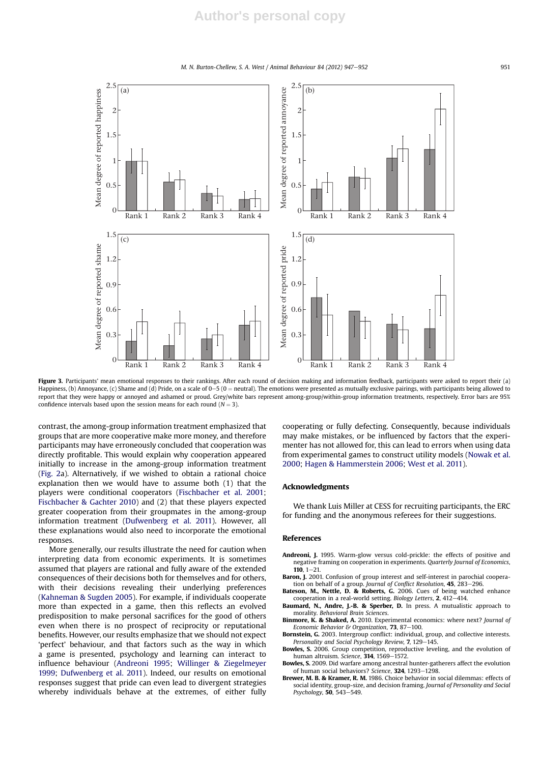M. N. Burton-Chellew, S. A. West / Animal Behaviour 84 (2012) 947–952



Figure 3. Participants' mean emotional responses to their rankings. After each round of decision making and information feedback, participants were asked to report their (a) Happiness, (b) Annoyance, (c) Shame and (d) Pride, on a scale of 0–5 (0 = neutral). The emotions were presented as mutually exclusive pairings, with participants being allowed to report that they were happy or annoyed and ashamed or proud. Grey/white bars represent among-group/within-group information treatments, respectively. Error bars are 95% confidence intervals based upon the session means for each round ( $N = 3$ ).

contrast, the among-group information treatment emphasized that groups that are more cooperative make more money, and therefore participants may have erroneously concluded that cooperation was directly profitable. This would explain why cooperation appeared initially to increase in the among-group information treatment (Fig. 2a). Alternatively, if we wished to obtain a rational choice explanation then we would have to assume both (1) that the players were conditional cooperators (Fischbacher et al. 2001; Fischbacher & Gachter 2010) and (2) that these players expected greater cooperation from their groupmates in the among-group information treatment (Dufwenberg et al. 2011). However, all these explanations would also need to incorporate the emotional responses.

More generally, our results illustrate the need for caution when interpreting data from economic experiments. It is sometimes assumed that players are rational and fully aware of the extended consequences of their decisions both for themselves and for others, with their decisions revealing their underlying preferences (Kahneman & Sugden 2005). For example, if individuals cooperate more than expected in a game, then this reflects an evolved predisposition to make personal sacrifices for the good of others even when there is no prospect of reciprocity or reputational benefits. However, our results emphasize that we should not expect 'perfect' behaviour, and that factors such as the way in which a game is presented, psychology and learning can interact to influence behaviour (Andreoni 1995; Willinger & Ziegelmeyer 1999; Dufwenberg et al. 2011). Indeed, our results on emotional responses suggest that pride can even lead to divergent strategies whereby individuals behave at the extremes, of either fully cooperating or fully defecting. Consequently, because individuals may make mistakes, or be influenced by factors that the experimenter has not allowed for, this can lead to errors when using data from experimental games to construct utility models (Nowak et al. 2000; Hagen & Hammerstein 2006; West et al. 2011).

#### Acknowledgments

We thank Luis Miller at CESS for recruiting participants, the ERC for funding and the anonymous referees for their suggestions.

#### References

- Andreoni, J. 1995. Warm-glow versus cold-prickle: the effects of positive and negative framing on cooperation in experiments. Quarterly Journal of Economics,  $110, 1 - 21.$
- Baron, J. 2001. Confusion of group interest and self-interest in parochial cooperation on behalf of a group. Journal of Conflict Resolution, 45, 283-296.
- Bateson, M., Nettle, D. & Roberts, G. 2006. Cues of being watched enhance cooperation in a real-world setting. Biology Letters, 2, 412-414.
- Baumard, N., Andre, J.-B. & Sperber, D. In press. A mutualistic approach to morality. Behavioral Brain Sciences.
- Binmore, K. & Shaked, A. 2010. Experimental economics: where next? Journal of Economic Behavior & Organization, 73, 87-100.
- Bornstein, G. 2003. Intergroup conflict: individual, group, and collective interests. Personality and Social Psychology Review, 7, 129-145
- Bowles, S. 2006. Group competition, reproductive leveling, and the evolution of human altruism. Science,  $314$ , 1569-1572.
- Bowles, S. 2009. Did warfare among ancestral hunter-gatherers affect the evolution of human social behaviors? Science, 324, 1293-1298.
- Brewer, M. B. & Kramer, R. M. 1986. Choice behavior in social dilemmas: effects of social identity, group-size, and decision framing. Journal of Personality and Social Psychology, 50, 543-549.